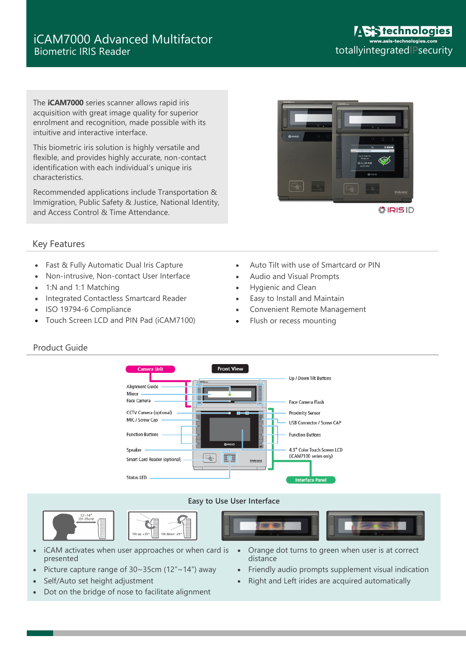The **iCAM7000** series scanner allows rapid iris acquisition with great image quality for superior enrolment and recognition, made possible with its intuitive and interactive interface.

This biometric iris solution is highly versatile and flexible, and provides highly accurate, non-contact identification with each individual's unique iris characteristics.

Recommended applications include Transportation & Immigration, Public Safety & Justice, National Identity, and Access Control & Time Attendance.



## Key Features

Product Guide

- Fast & Fully Automatic Dual Iris Capture
- Non-intrusive, Non-contact User Interface
- 1:N and 1:1 Matching
- Integrated Contactless Smartcard Reader
- ISO 19794-6 Compliance
- Touch Screen LCD and PIN Pad (iCAM7100)
- Auto Tilt with use of Smartcard or PIN
- Audio and Visual Prompts
- Hygienic and Clean
- Easy to Install and Maintain
- Convenient Remote Management
- Flush or recess mounting